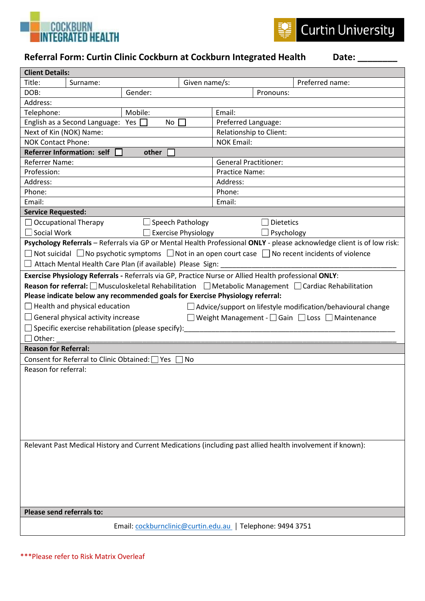



## Referral Form: Curtin Clinic Cockburn at Cockburn Integrated Health Date: \_

| <b>Client Details:</b>                                                                                                      |          |         |                     |                              |           |  |  |
|-----------------------------------------------------------------------------------------------------------------------------|----------|---------|---------------------|------------------------------|-----------|--|--|
| Title:                                                                                                                      | Surname: |         | Given name/s:       | Preferred name:              |           |  |  |
| DOB:                                                                                                                        |          | Gender: |                     |                              | Pronouns: |  |  |
| Address:                                                                                                                    |          |         |                     |                              |           |  |  |
| Mobile:<br>Telephone:                                                                                                       |          |         | Email:              |                              |           |  |  |
| English as a Second Language: Yes<br>No                                                                                     |          |         | Preferred Language: |                              |           |  |  |
| Next of Kin (NOK) Name:                                                                                                     |          |         |                     | Relationship to Client:      |           |  |  |
| <b>NOK Contact Phone:</b>                                                                                                   |          |         |                     | <b>NOK Email:</b>            |           |  |  |
| <b>Referrer Information: self</b><br>other                                                                                  |          |         |                     |                              |           |  |  |
| <b>Referrer Name:</b>                                                                                                       |          |         |                     | <b>General Practitioner:</b> |           |  |  |
| Profession:                                                                                                                 |          |         |                     | <b>Practice Name:</b>        |           |  |  |
| Address:                                                                                                                    |          |         |                     | Address:                     |           |  |  |
| Phone:                                                                                                                      |          |         |                     | Phone:                       |           |  |  |
| Email:<br>Email:                                                                                                            |          |         |                     |                              |           |  |  |
| <b>Service Requested:</b>                                                                                                   |          |         |                     |                              |           |  |  |
| $\Box$ Occupational Therapy<br>$\Box$ Speech Pathology                                                                      |          |         |                     | <b>Dietetics</b>             |           |  |  |
| $\Box$ Social Work<br><b>Exercise Physiology</b>                                                                            |          |         |                     | Psychology                   |           |  |  |
| Psychology Referrals - Referrals via GP or Mental Health Professional ONLY - please acknowledge client is of low risk:      |          |         |                     |                              |           |  |  |
| $□$ Not suicidal $□$ No psychotic symptoms $□$ Not in an open court case $□$ No recent incidents of violence                |          |         |                     |                              |           |  |  |
| $\Box$ Attach Mental Health Care Plan (if available) Please Sign: _______                                                   |          |         |                     |                              |           |  |  |
| Exercise Physiology Referrals - Referrals via GP, Practice Nurse or Allied Health professional ONLY:                        |          |         |                     |                              |           |  |  |
| <b>Reason for referral:</b> $\Box$ Musculoskeletal Rehabilitation $\Box$ Metabolic Management $\Box$ Cardiac Rehabilitation |          |         |                     |                              |           |  |  |
| Please indicate below any recommended goals for Exercise Physiology referral:                                               |          |         |                     |                              |           |  |  |
| $\Box$ Health and physical education<br>$\Box$ Advice/support on lifestyle modification/behavioural change                  |          |         |                     |                              |           |  |  |
| $\Box$ General physical activity increase<br>□ Weight Management - Gain □ Loss □ Maintenance                                |          |         |                     |                              |           |  |  |
| $\Box$ Specific exercise rehabilitation (please specify):                                                                   |          |         |                     |                              |           |  |  |
| $\Box$ Other:                                                                                                               |          |         |                     |                              |           |  |  |
| <b>Reason for Referral:</b>                                                                                                 |          |         |                     |                              |           |  |  |
| Consent for Referral to Clinic Obtained: □ Yes  <br>No                                                                      |          |         |                     |                              |           |  |  |
| Reason for referral:                                                                                                        |          |         |                     |                              |           |  |  |
|                                                                                                                             |          |         |                     |                              |           |  |  |
|                                                                                                                             |          |         |                     |                              |           |  |  |
|                                                                                                                             |          |         |                     |                              |           |  |  |
|                                                                                                                             |          |         |                     |                              |           |  |  |
|                                                                                                                             |          |         |                     |                              |           |  |  |
|                                                                                                                             |          |         |                     |                              |           |  |  |
|                                                                                                                             |          |         |                     |                              |           |  |  |
| Relevant Past Medical History and Current Medications (including past allied health involvement if known):                  |          |         |                     |                              |           |  |  |
|                                                                                                                             |          |         |                     |                              |           |  |  |
|                                                                                                                             |          |         |                     |                              |           |  |  |
|                                                                                                                             |          |         |                     |                              |           |  |  |
|                                                                                                                             |          |         |                     |                              |           |  |  |
|                                                                                                                             |          |         |                     |                              |           |  |  |
|                                                                                                                             |          |         |                     |                              |           |  |  |
| Please send referrals to:                                                                                                   |          |         |                     |                              |           |  |  |
| Email: cockburnclinic@curtin.edu.au   Telephone: 9494 3751                                                                  |          |         |                     |                              |           |  |  |